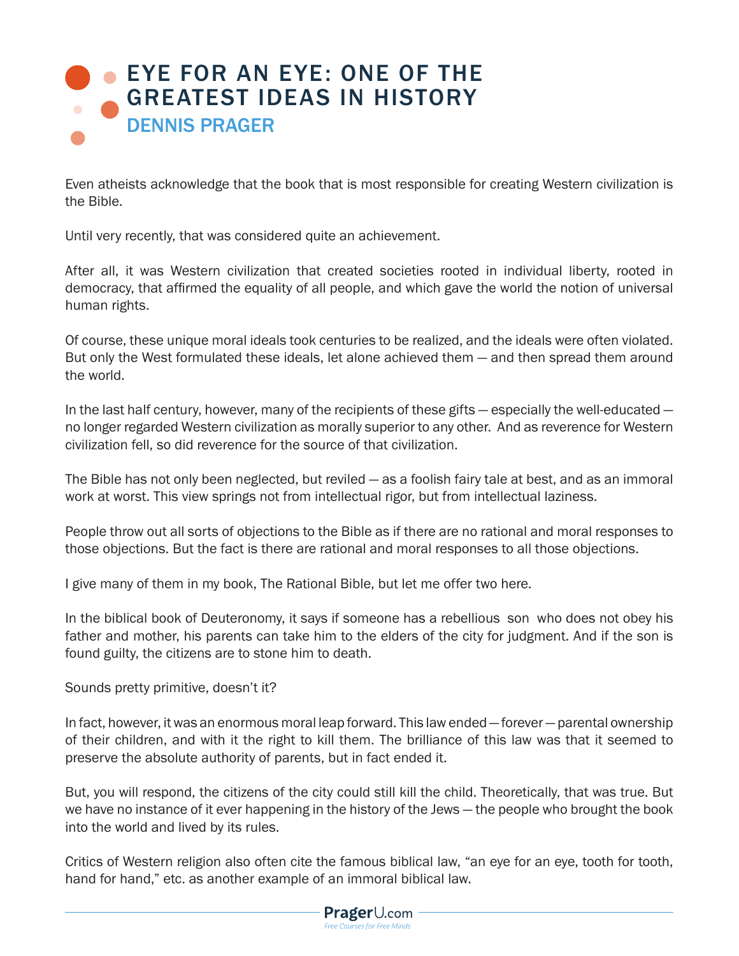## EYE FOR AN EYE: ONE OF THE [GREATEST IDEAS IN HISTORY](https://www.prageru.com/videos/eye-eye-one-greatest-ideas-history) DENNIS PRAGER

Even atheists acknowledge that the book that is most responsible for creating Western civilization is the Bible.

Until very recently, that was considered quite an achievement.

After all, it was Western civilization that created societies rooted in individual liberty, rooted in democracy, that affirmed the equality of all people, and which gave the world the notion of universal human rights.

Of course, these unique moral ideals took centuries to be realized, and the ideals were often violated. But only the West formulated these ideals, let alone achieved them — and then spread them around the world.

In the last half century, however, many of the recipients of these gifts — especially the well-educated no longer regarded Western civilization as morally superior to any other. And as reverence for Western civilization fell, so did reverence for the source of that civilization.

The Bible has not only been neglected, but reviled — as a foolish fairy tale at best, and as an immoral work at worst. This view springs not from intellectual rigor, but from intellectual laziness.

People throw out all sorts of objections to the Bible as if there are no rational and moral responses to those objections. But the fact is there are rational and moral responses to all those objections.

I give many of them in my book, The Rational Bible, but let me offer two here.

In the biblical book of Deuteronomy, it says if someone has a rebellious son who does not obey his father and mother, his parents can take him to the elders of the city for judgment. And if the son is found guilty, the citizens are to stone him to death.

Sounds pretty primitive, doesn't it?

In fact, however, it was an enormous moral leap forward. This law ended — forever — parental ownership of their children, and with it the right to kill them. The brilliance of this law was that it seemed to preserve the absolute authority of parents, but in fact ended it.

But, you will respond, the citizens of the city could still kill the child. Theoretically, that was true. But we have no instance of it ever happening in the history of the Jews — the people who brought the book into the world and lived by its rules.

Critics of Western religion also often cite the famous biblical law, "an eye for an eye, tooth for tooth, hand for hand," etc. as another example of an immoral biblical law.